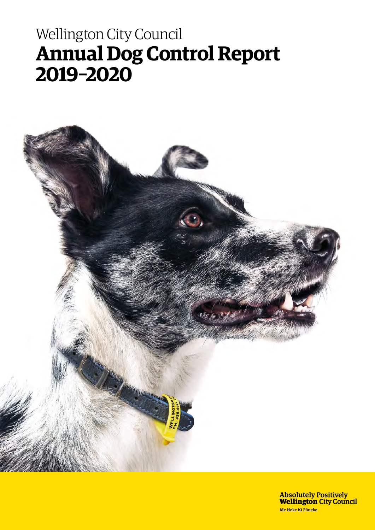# Wellington City Council **Annual Dog Control Report 2019–2020**



Absolutely Positively<br>**Wellington** City Council Me Heke Ki Pôneke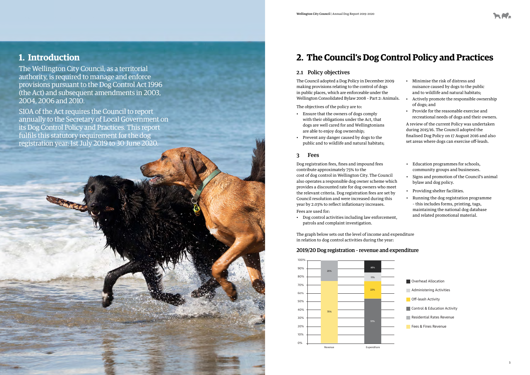## **1. Introduction**

The Wellington City Council, as a territorial authority, is required to manage and enforce provisions pursuant to the Dog Control Act 1996 (the Act) and subsequent amendments in 2003, 2004, 2006 and 2010.

S10A of the Act requires the Council to report annually to the Secretary of Local Government on its Dog Control Policy and Practices. This report fulfils this statutory requirement for the dog registration year: 1st July 2019 to 30 June 2020.

### 3 Fees

Dog registration fees, fines and impound fees contribute approximately 75% to the cost of dog control in Wellington City. The Council also operates a responsible dog owner scheme which provides a discounted rate for dog owners who meet the relevant criteria. Dog registration fees are set by Council resolution and were increased during this year by 2.03% to reflect inflationary increases. Fees are used for:

- 
- Dog control activities including law enforcement, patrols and complaint investigation.
- Education programmes for schools, community groups and businesses.
- Signs and promotion of the Council's animal bylaw and dog policy.
- Providing shelter facilities.
- Running the dog registration programme – this includes forms, printing, tags, maintaining the national dog database and related promotional material.

### 2.1 Policy objectives

The Council adopted a Dog Policy in December 2009 making provisions relating to the control of dogs in public places, which are enforceable under the Wellington Consolidated Bylaw 2008 – Part 2: Animals.

The objectives of the policy are to:

- Ensure that the owners of dogs comply with their obligations under the Act, that dogs are well cared for and Wellingtonians are able to enjoy dog ownership;
- Prevent any danger caused by dogs to the public and to wildlife and natural habitats;
- Minimise the risk of distress and nuisance caused by dogs to the public and to wildlife and natural habitats;
- Actively promote the responsible ownership of dogs; and
- Provide for the reasonable exercise and recreational needs of dogs and their owners.

A review of the current Policy was undertaken during 2015/16. The Council adopted the finalised Dog Policy on 17 August 2016 and also set areas where dogs can exercise off-leash.

## **2. The Council's Dog Control Policy and Practices**

### 100% 2019/20 Dog registration – revenue and expenditure

The graph below sets out the level of income and expenditure in relation to dog control activities during the year:

> Overhead Allocation Overhead Allocation Administering Activities Administering Activities **Off-leash Activity** Control & Education Activity **Residential Rates Revenue** Fees & Fines Revenue Residential Rates Revenue

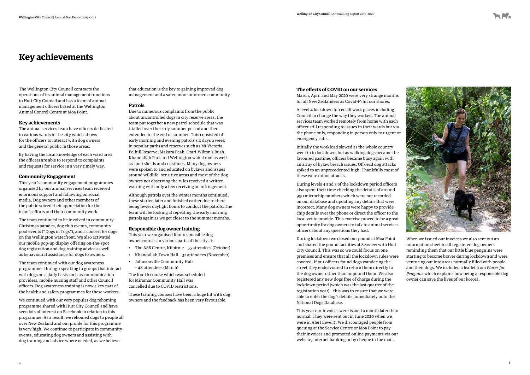## **Key achievements**

The Wellington City Council contracts the operations of its animal management functions to Hutt City Council and has a team of animal management officers based at the Wellington Animal Control Centre at Moa Point.

#### **Key achievements**

The animal services team have officers dedicated to various wards in the city which allows for the officers to interact with dog owners and the general public in those areas.

By having the local knowledge of each ward area the officers are able to respond to complaints and requests for service in a very timely way.

#### **Community Engagement**

This year's community engagement programmes organised by our animal services team received enormous support and following on social media. Dog owners and other members of the public voiced their appreciation for the team's efforts and their community work.

The team continued to be involved in community Christmas parades, dog club events, community pool events ("Dogs in Togs"), and a concert for dogs on the Wellington waterfront. We also activated our mobile pop-up display offering on-the-spot dog registration and dog training advice as well as behavioural assistance for dogs to owners.

The team continued with our dog awareness programmes through speaking to groups that interact with dogs on a daily basis such as communication providers, mobile nursing staff and other Council officers. Dog awareness training is now a key part of the health and safety programmes for these workers.

We continued with our very popular dog rehoming programme shared with Hutt City Council and have seen lots of interest on Facebook in relation to this programme. As a result, we rehomed dogs to people all over New Zealand and our profile for this programme is very high. We continue to participate in community events, educating dog owners and assisting with dog training and advice where needed, as we believe

that education is the key to gaining improved dog management and a safer, more informed community.

### **Patrols**

Due to numerous complaints from the public about uncontrolled dogs in city reserve areas, the team put together a new patrol schedule that was trialled over the early summer period and then extended to the end of summer. This consisted of early morning and evening patrols six days a week in popular parks and reserves such as Mt Victoria, Polhill Reserve, Makara Peak, Otari-Wilton's Bush, Khandallah Park and Wellington waterfront as well as sportsfields and coastlines. Many dog owners were spoken to and educated on bylaws and issues around wildlife- sensitive areas and most of the dog owners not observing the rules received a written warning with only a few receiving an infringement.

Although patrols over the winter months continued, these started later and finished earlier due to there being fewer daylight hours to conduct the patrols. The team will be looking at repeating the early morning patrols again as we get closer to the summer months.

#### **Responsible dog owner training**

This year we organised four responsible dog owner courses in various parts of the city at:

- The ASB Centre, Kilbirnie 55 attendees (October)
- Khandallah Town Hall 32 attendees (November)
- Johnsonville Community Hub – 48 attendees (March)

The fourth course which was scheduled for Miramar Community Hall was cancelled due to COVID restrictions.

These training courses have been a huge hit with dog owners and the feedback has been very favourable.

#### **The effects of COVID on our services**

March, April and May 2020 were very strange months for all New Zealanders as Covid-19 hit our shores.

A level 4 lockdown forced all work places including Council to change the way they worked. The animal services team worked remotely from home with each officer still responding to issues in their wards but via the phone only, responding in person only to urgent or emergency calls.

Initially the workload slowed as the whole country went in to lockdown, but as walking dogs became the favoured pastime, officers became busy again with an array of bylaw breach issues. Off-lead dog attacks spiked to an unprecedented high. Thankfully most of these were minor attacks.

During levels 4 and 3 of the lockdown period officers also spent their time checking the details of around 990 microchip numbers which were not recorded on our database and updating any details that were incorrect. Many dog owners were happy to provide chip details over the phone or direct the officer to the local vet to provide. This exercise proved to be a great opportunity for dog owners to talk to animal services officers about any questions they had.

During lockdown we closed our pound at Moa Point and shared the pound facilities at Seaview with Hutt City Council. This was so we could focus on one premises and ensure that all the lockdown rules were covered. If our officers found dogs wandering the street they endeavoured to return them directly to the dog owner rather than impound them. We also registered any new dogs free of charge during the lockdown period (which was the last quarter of the registration year) – this was to ensure that we were able to enter the dog's details immediately onto the National Dogs Database.

This year our invoices were issued a month later than normal. They were sent out in June 2020 when we were in Alert Level 2. We discouraged people from queuing at the Service Centre or Moa Point to pay their invoices and promoted online payments via our website, internet banking or by cheque in the mail.





When we issued our invoices we also sent out an information sheet to all registered dog owners reminding them that our little blue penguins were starting to become braver during lockdown and were venturing out into areas normally filled with people and their dogs. We included a leaflet from *Places for Penguins* which explains how being a responsible dog owner can save the lives of our kororā.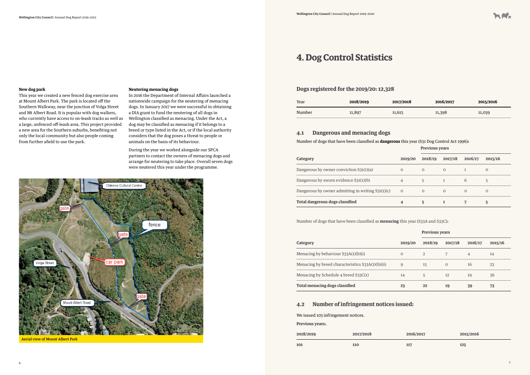#### **New dog park**

This year we created a new fenced dog exercise area at Mount Albert Park. The park is located off the Southern Walkway, near the junction of Volga Street and Mt Albert Road. It is popular with dog walkers, who currently have access to on-leash tracks as well as a large, unfenced off-leash area. This project provided a new area for the Southern suburbs, benefiting not only the local community but also people coming from further afield to use the park.

#### **Neutering menacing dogs**

In 2016 the Department of Internal Affairs launched a nationwide campaign for the neutering of menacing dogs. In January 2017 we were successful in obtaining a DIA grant to fund the neutering of all dogs in Wellington classified as menacing. Under the Act, a dog may be classified as menacing if it belongs to a breed or type listed in the Act, or if the local authority considers that the dog poses a threat to people or animals on the basis of its behaviour.

During the year we worked alongside our SPCA partners to contact the owners of menacing dogs and arrange for neutering to take place. Overall seven dogs were neutered this year under the programme.



Aerial view of Mount Albert Park

## **4. Dog Control Statistics**

## **Previous years**

| <b>Category</b>                                   | 2019/20                  | 2018/19        | 2017/18    | 2016/17 | 2015/16        |
|---------------------------------------------------|--------------------------|----------------|------------|---------|----------------|
| Dangerous by owner conviction S31(1)(a)           | O                        | $\Omega$       | $\Omega$   |         | $\overline{0}$ |
| Dangerous by sworn evidence S31(1)(b)             | 4                        |                |            | 6       |                |
| Dangerous by owner admitting in writing S31(1)(c) | $\overline{\phantom{0}}$ | $\overline{0}$ | $\bigcirc$ |         | $\Omega$       |
| <b>Total dangerous dogs classified</b>            | 4                        | 5              |            |         | 5              |

| Year   | 2018/2019 | 2017/2018 | 2016/2017 | 2015/2016 |
|--------|-----------|-----------|-----------|-----------|
| Number | 11,897    | 11,615    | 11,398    | 11,039    |

Number of dogs that have been classified as **menacing** this year (S33A and S33C)**:**

|                                                  |                | <b>Previous years</b> |                |                |         |
|--------------------------------------------------|----------------|-----------------------|----------------|----------------|---------|
| <b>Category</b>                                  | 2019/20        | 2018/19               | 2017/18        | 2016/17        | 2015/16 |
| Menacing by behaviour S33A(1)(b)(i)              | $\overline{0}$ | 2                     |                | $\overline{4}$ | 14      |
| Menacing by breed characteristics S33A(1)(b)(ii) | 9              | 15                    | $\overline{0}$ | 16             | 23      |
| Menacing by Schedule 4 breed S33C(1)             | 14             | 5                     | 12             | 19             | 36      |
| <b>Total menacing dogs classified</b>            | 23             | 22                    | 19             | 39             | 73      |

| 2018/2019 | 2017/2018 | 2016/2017 | 2015/2016 |
|-----------|-----------|-----------|-----------|
|           |           |           |           |

**101 110 117 125**



### **4.1 Dangerous and menacing dogs**

Number of dogs that have been classified as **dangerous** this year (S31 Dog Control Act 1996)**:**

### **4.2 Number of infringement notices issued:**

### **Dogs registered for the 2019/20: 12,328**

We issued 103 infringement notices.

**Previous years:**.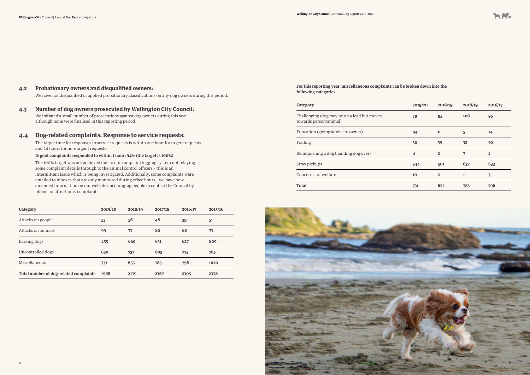



| <b>Category</b>                        | 2019/20 | 2018/19 | 2017/18 | 2016/17 | 2015/16 |
|----------------------------------------|---------|---------|---------|---------|---------|
| Attacks on people                      | 53      | 56      | 48      | 39      | 51      |
| Attacks on animals                     | 99      | 77      | 80      | 68      | 73      |
| Barking dogs                           | 455     | 660     | 651     | 627     | 809     |
| Uncontrolled dogs                      | 650     | 731     | 805     | 775     | 785     |
| Miscellaneous                          | 731     | 655     | 783     | 796     | 1020    |
| Total number of dog-related complaints | 1988    | 2179    | 2367    | 2305    | 2378    |

### **4.2 Probationary owners and disqualified owners:**

We have not disqualified or applied probationary classifications on any dog owners during this period.

### **4.3 Number of dog owners prosecuted by Wellington City Council:**

We initiated a small number of prosecutions against dog owners during this year – although none were finalised in this reporting period.

### **4.4 Dog-related complaints: Response to service requests:**

The target time for responses to service requests is within one hour for urgent requests and 24 hours for non-urgent requests:

### **Urgent complaints responded to within 1 hour: 94% (the target is 100%)**

The 100% target was not achieved due to our complaint logging system not relaying some complaint details through to the animal control officers – this is an intermittent issue which is being investigated. Additionally, some complaints were emailed to inboxes that are only monitored during office hours – we have now amended information on our website encouraging people to contact the Council by phone for after-hours complaints.

| <b>Category</b>                                                       | 2019/20        | 2018/19        | 2018/19      | 2016/17 |
|-----------------------------------------------------------------------|----------------|----------------|--------------|---------|
| Challenging (dog may be on a lead but moves<br>towards person/animal) | 79             | 95             | 106          | 95      |
| Education (giving advice to owner)                                    | 44             | $\bf{0}$       | 5            | 14      |
| Fouling                                                               | 50             | 55             | 32           | 50      |
| Relinquishing a dog (handing dog over)                                | $\overline{4}$ | $\overline{2}$ | 7            | 1       |
| Stray pickups                                                         | 544            | 501            | 632          | 633     |
| Concerns for welfare                                                  | 10             | $\overline{2}$ | $\mathbf{1}$ | 3       |
| Total                                                                 | 731            | 655            | 783          | 796     |

Stray pickups **544 501 632 633**

**For this reporting year, miscellaneous complaints can be broken down into the following categories:**